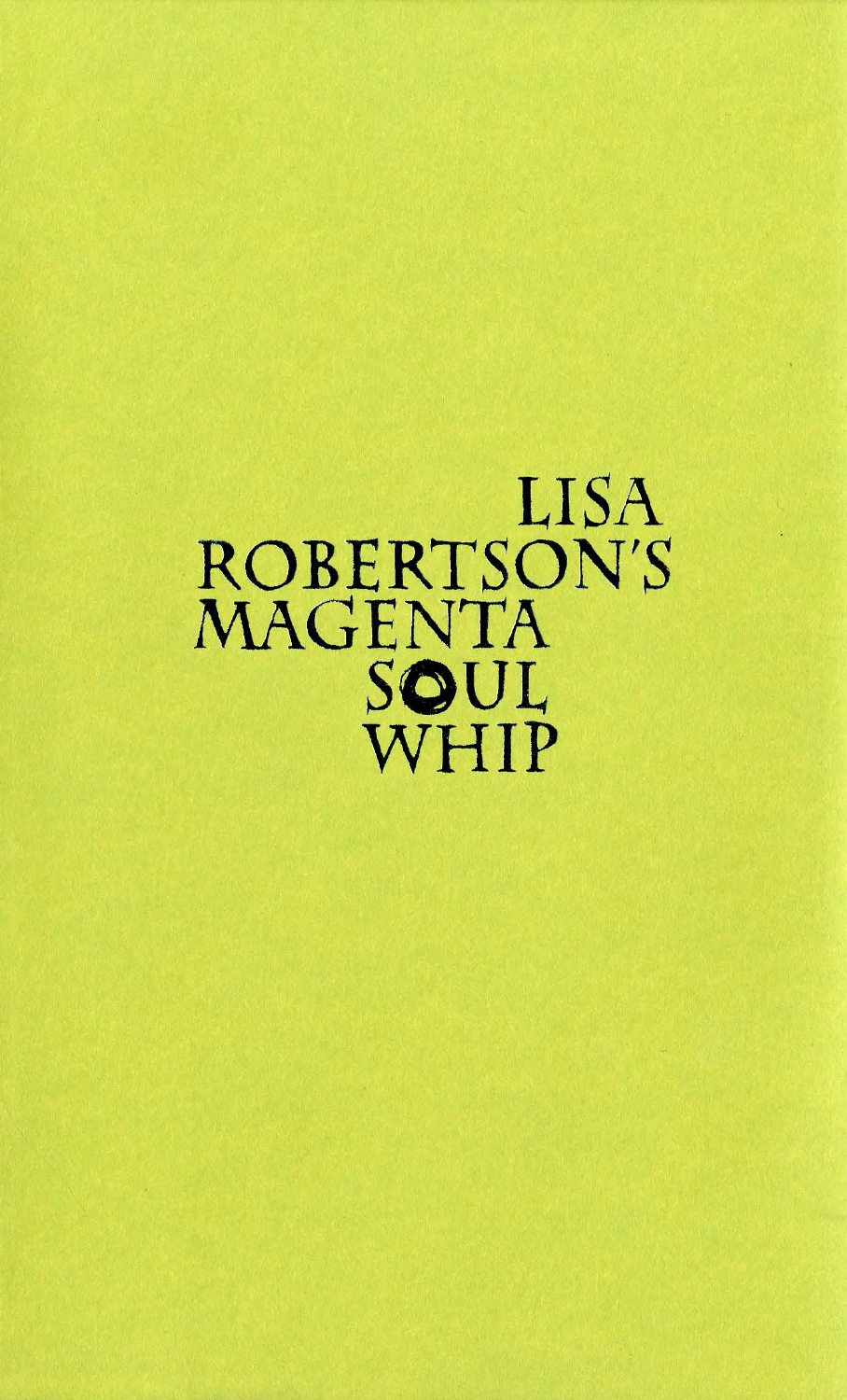## LISA ROBERTSON'S MAGENTA SOUL WHIP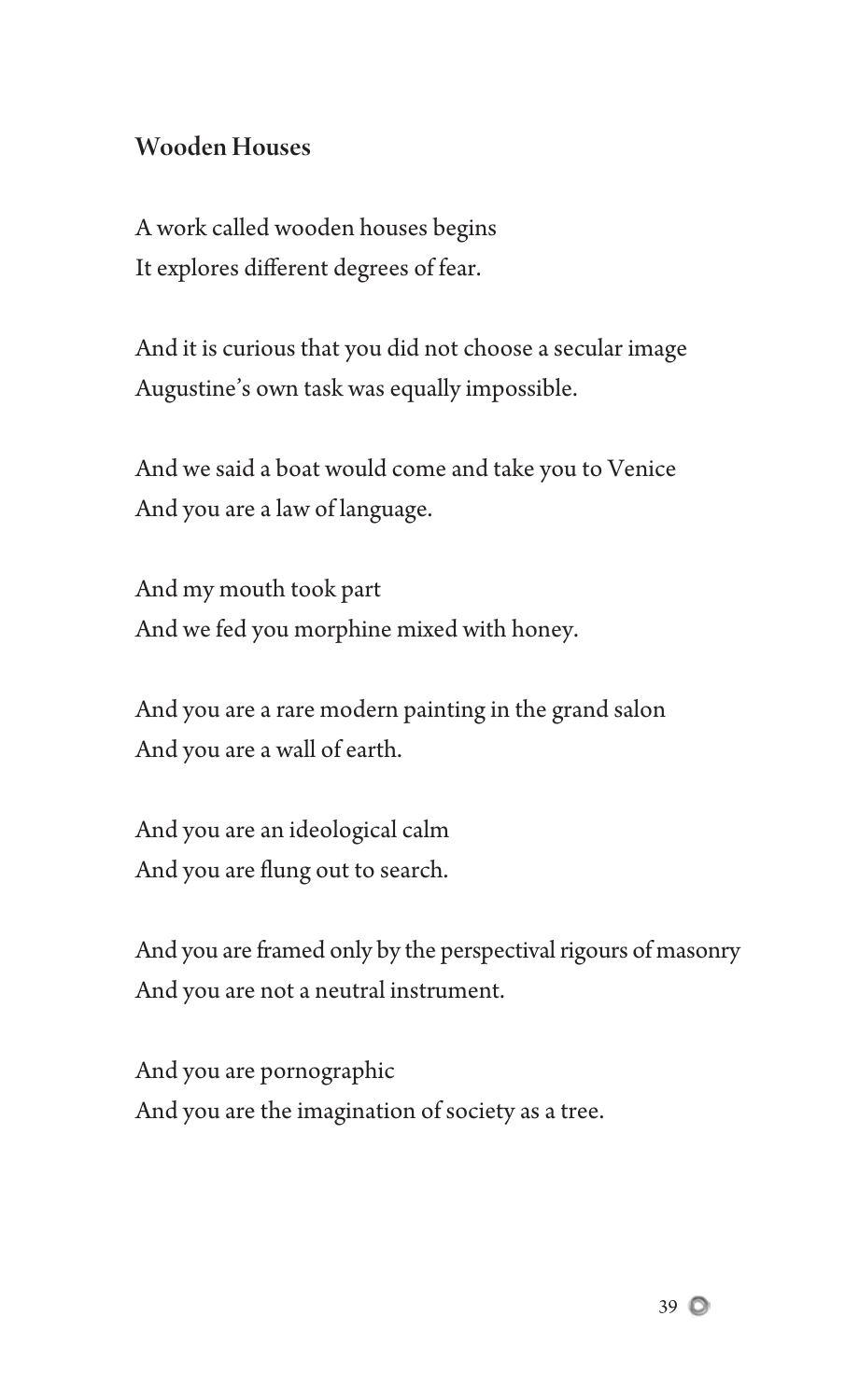## Wooden Houses

A work called wooden houses begins It explores different degrees of fear.

And it is curious that you did not choose a secular image Augustine's own task was equally impossible.

And we said a boat would come and take you to Venice And you are a law of language.

And my mouth took part And we fed you morphine mixed with honey.

And you are a rare modern painting in the grand salon And you are a wall of earth.

And you are an ideological calm And you are flung out to search.

And you are framed only by the perspectival rigours of masonry And you are not a neutral instrument.

And you are pornographic And you are the imagination of society as a tree.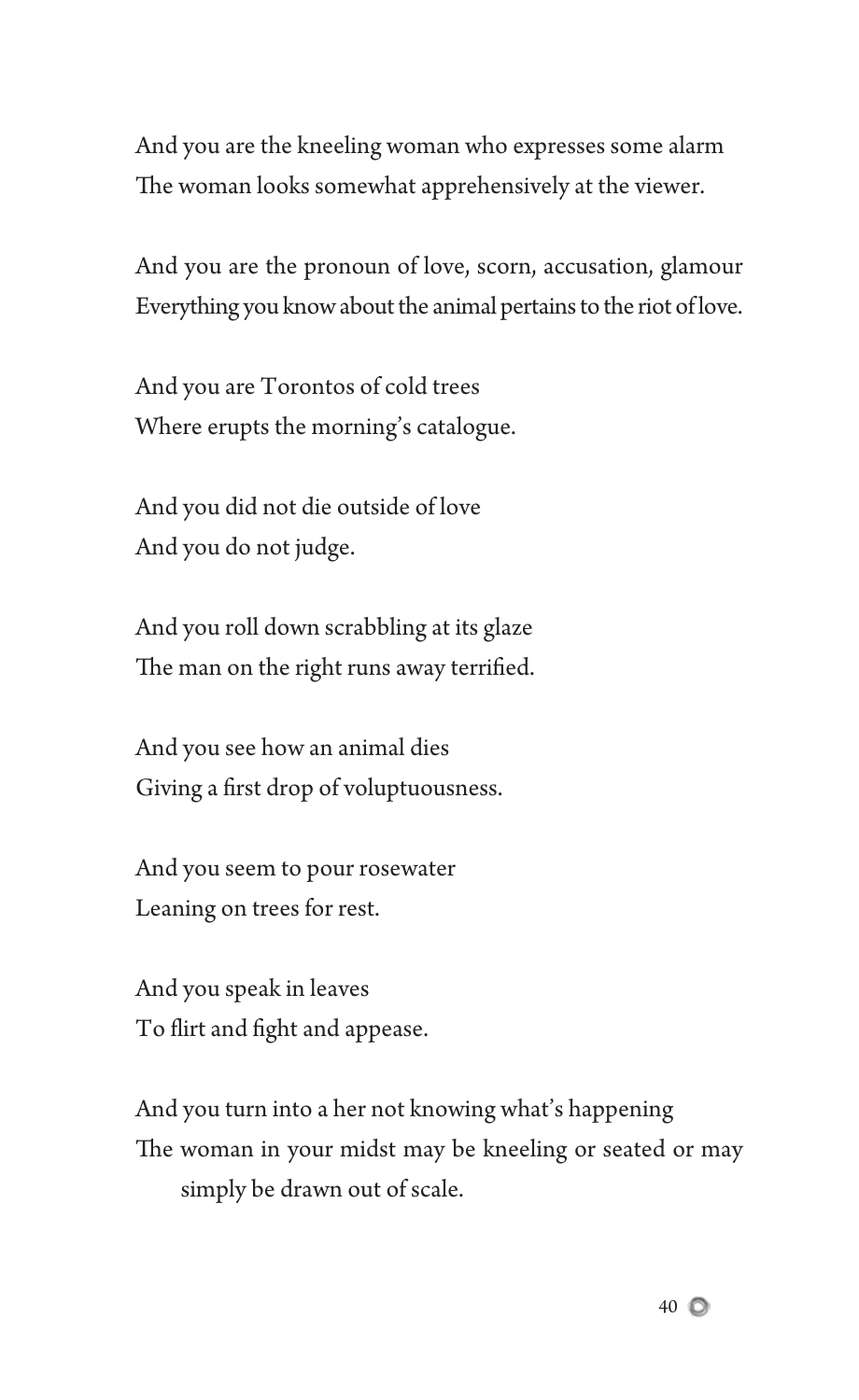And you are the kneeling woman who expresses some alarm The woman looks somewhat apprehensively at the viewer.

And you are the pronoun of love, scorn, accusation, glamour Everything you know about the animal pertains to the riot of love.

And you are Torontos of cold trees Where erupts the morning's catalogue.

And you did not die outside of love And you do not judge.

And you roll down scrabbling at its glaze The man on the right runs away terrified.

And you see how an animal dies Giving a first drop of voluptuousness.

And you seem to pour rosewater Leaning on trees for rest.

And you speak in leaves To flirt and fight and appease.

And you turn into a her not knowing what's happening The woman in your midst may be kneeling or seated or may simply be drawn out of scale.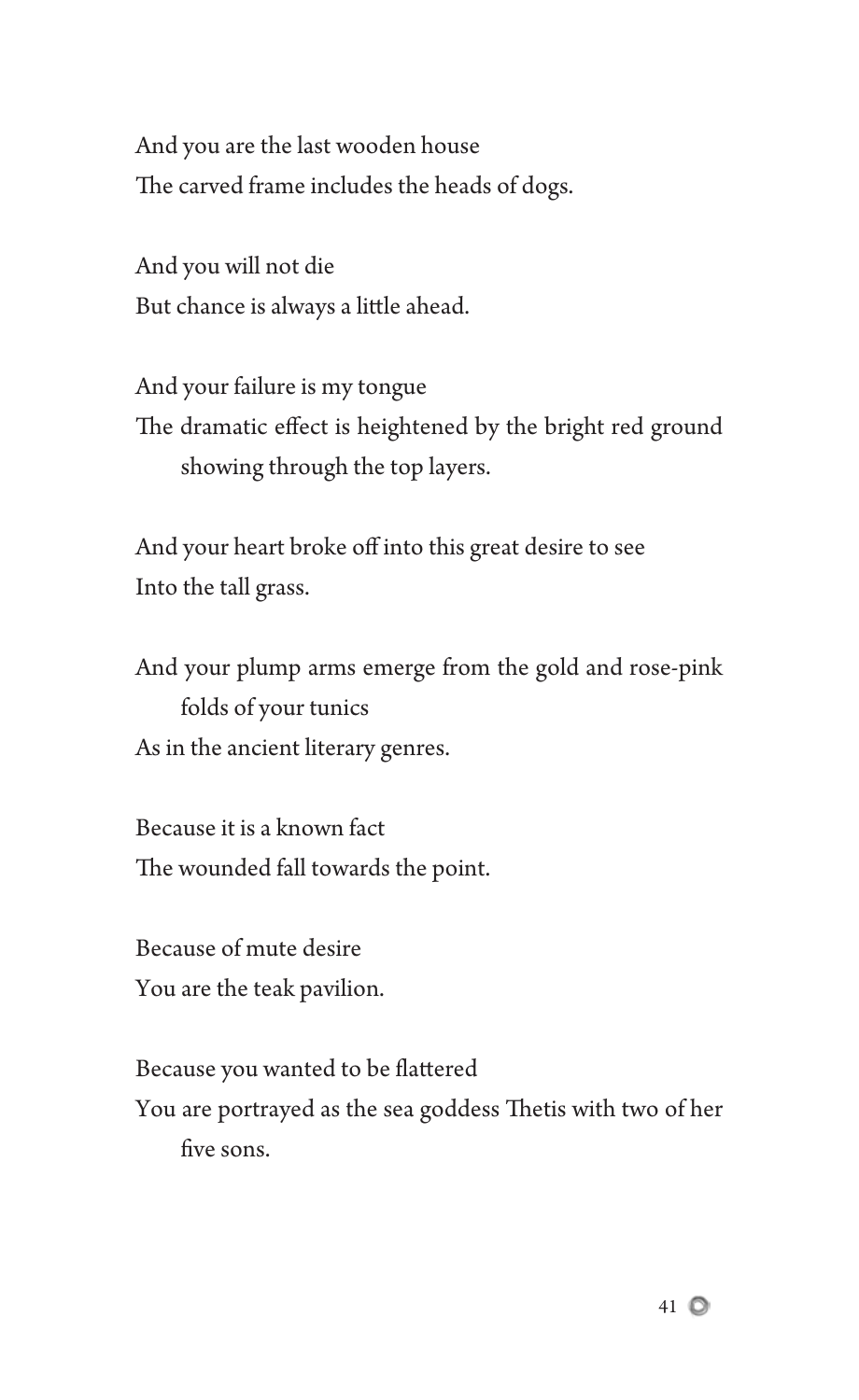And you are the last wooden house The carved frame includes the heads of dogs.

And you will not die But chance is always a little ahead.

And your failure is my tongue The dramatic effect is heightened by the bright red ground showing through the top layers.

And your heart broke off into this great desire to see Into the tall grass.

And your plump arms emerge from the gold and rose-pink folds of your tunics As in the ancient literary genres.

Because it is a known fact The wounded fall towards the point.

Because of mute desire You are the teak pavilion.

Because you wanted to be flattered

You are portrayed as the sea goddess Thetis with two of her five sons.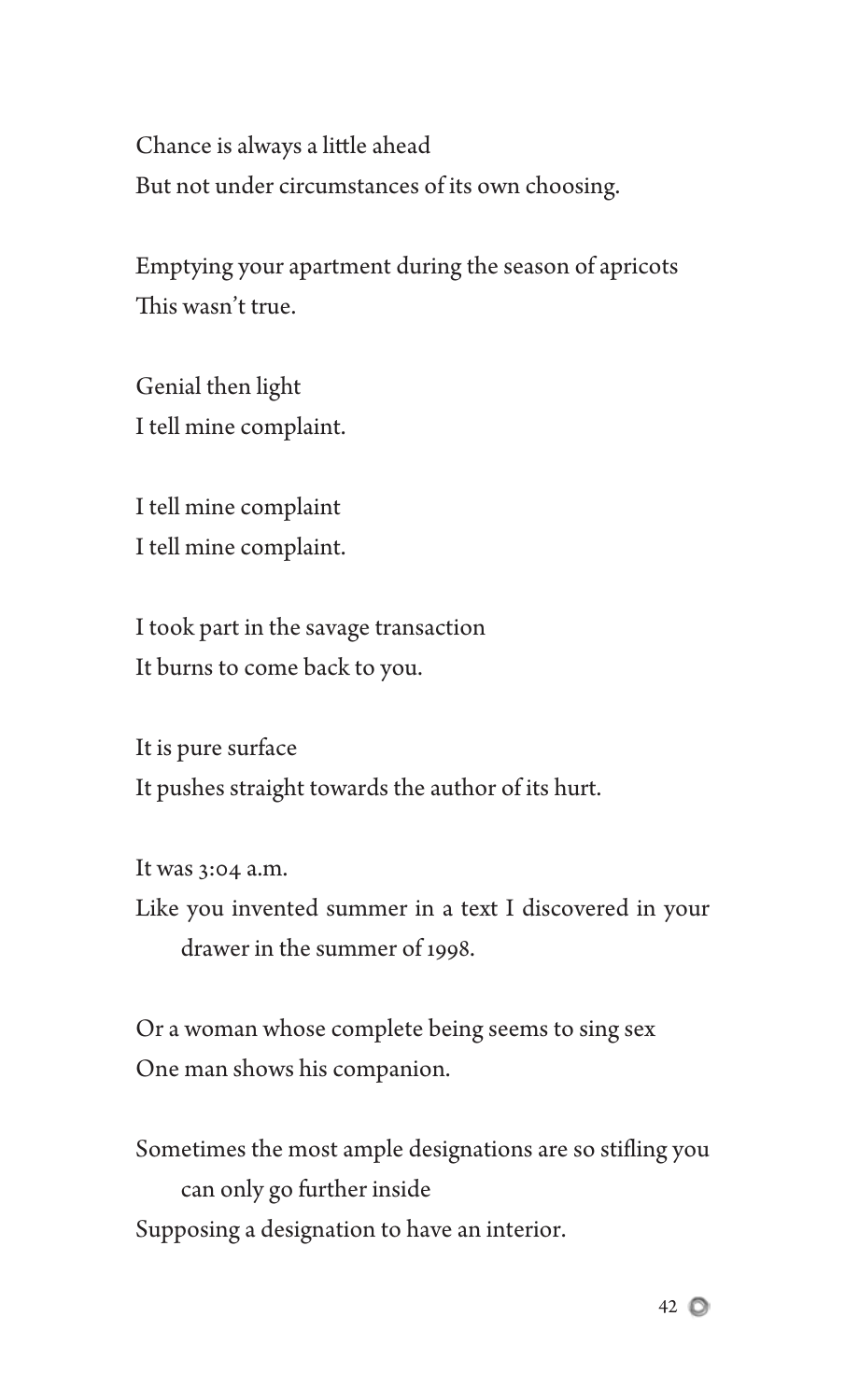Chance is always a little ahead But not under circumstances of its own choosing.

Emptying your apartment during the season of apricots This wasn't true.

Genial then light I tell mine complaint.

I tell mine complaint I tell mine complaint.

I took part in the savage transaction It burns to come back to you.

It is pure surface It pushes straight towards the author of its hurt.

It was 3:04 a.m. Like you invented summer in a text I discovered in your drawer in the summer of 1998.

Or a woman whose complete being seems to sing sex One man shows his companion.

Sometimes the most ample designations are so stifling you can only go further inside Supposing a designation to have an interior.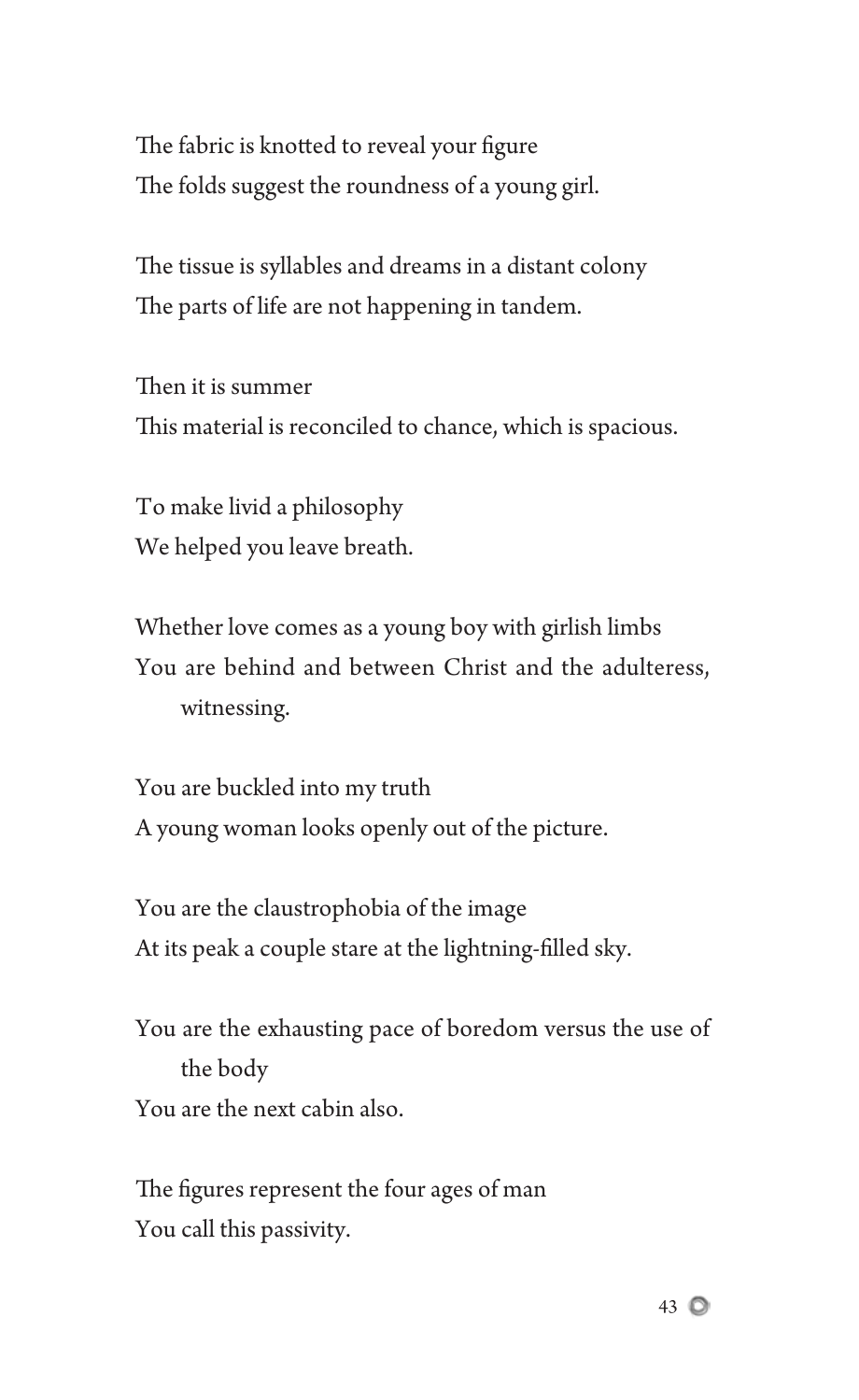The fabric is knotted to reveal your figure The folds suggest the roundness of a young girl.

The tissue is syllables and dreams in a distant colony The parts of life are not happening in tandem.

Then it is summer This material is reconciled to chance, which is spacious.

To make livid a philosophy We helped you leave breath.

Whether love comes as a young boy with girlish limbs You are behind and between Christ and the adulteress, witnessing.

You are buckled into my truth A young woman looks openly out of the picture.

You are the claustrophobia of the image At its peak a couple stare at the lightning-filled sky.

You are the exhausting pace of boredom versus the use of the body You are the next cabin also.

The figures represent the four ages of man You call this passivity.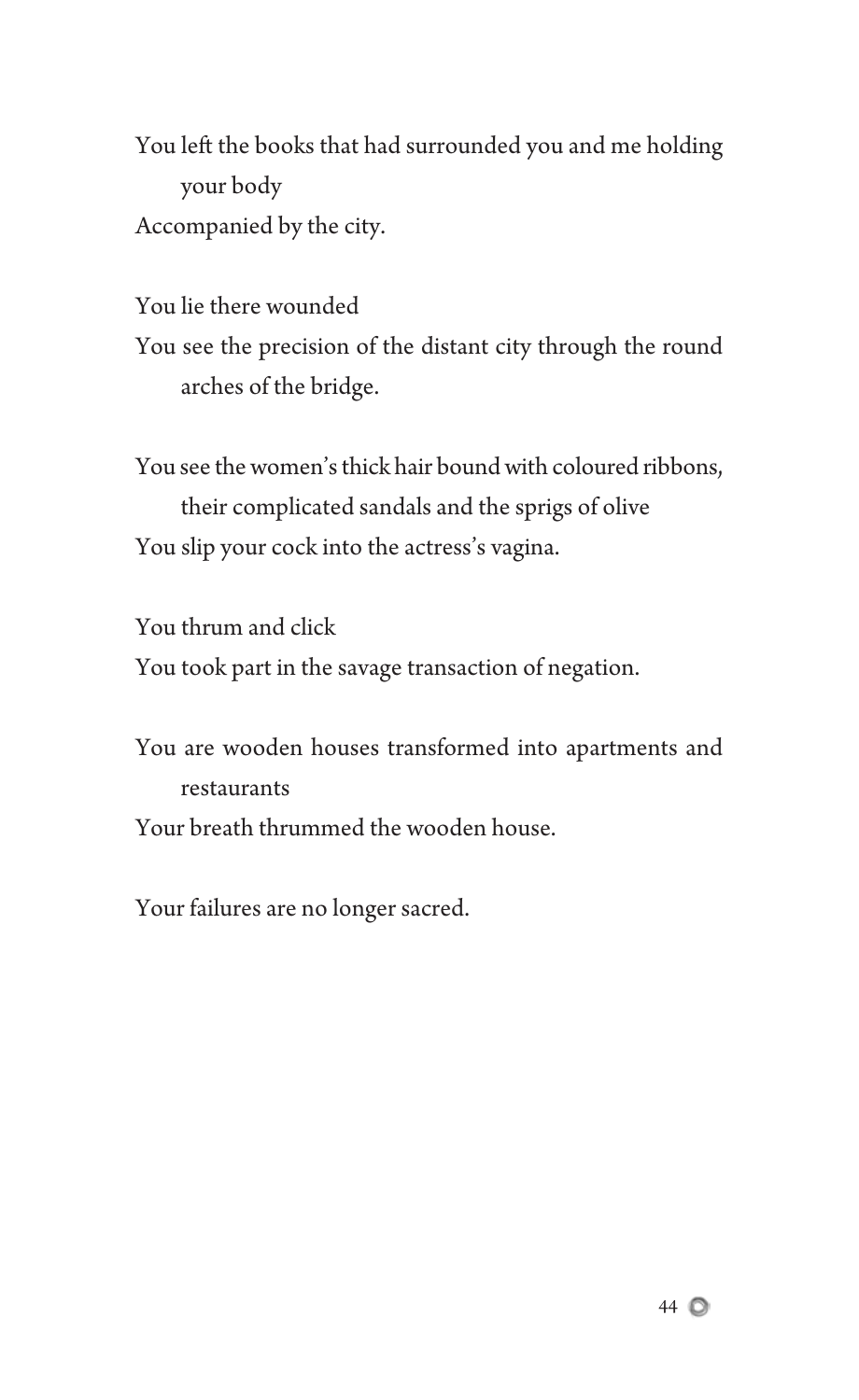You left the books that had surrounded you and me holding your body Accompanied by the city.

You lie there wounded You see the precision of the distant city through the round arches of the bridge.

You see the women's thick hair bound with coloured ribbons, their complicated sandals and the sprigs of olive You slip your cock into the actress's vagina.

You thrum and click You took part in the savage transaction of negation.

You are wooden houses transformed into apartments and restaurants Your breath thrummed the wooden house.

Your failures are no longer sacred.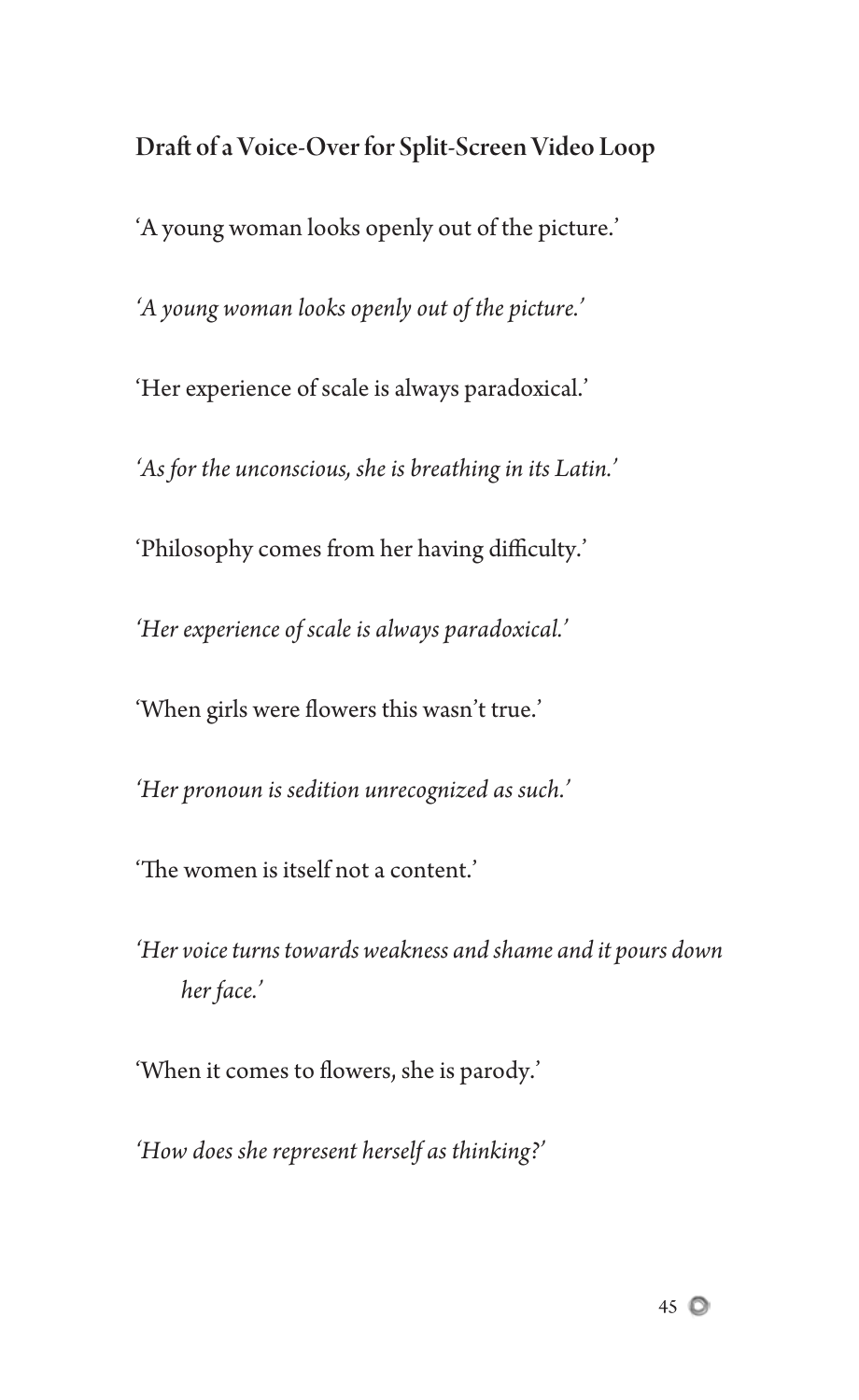Draft of a Voice-Over for Split-Screen Video Loop 'A young woman looks openly out of the picture.' *'A young woman looks openly out of the picture.'* 'Her experience of scale is always paradoxical.' *'As for the unconscious, she is breathing in its Latin.'* 'Philosophy comes from her having difficulty.' *'Her experience of scale is always paradoxical.'* 'When girls were flowers this wasn't true.' *'Her pronoun is sedition unrecognized as such.'* 'The women is itself not a content.'

*'Her voice turns towards weakness and shame and it pours down her face.'*

'When it comes to flowers, she is parody.'

*'How does she represent herself as thinking?'*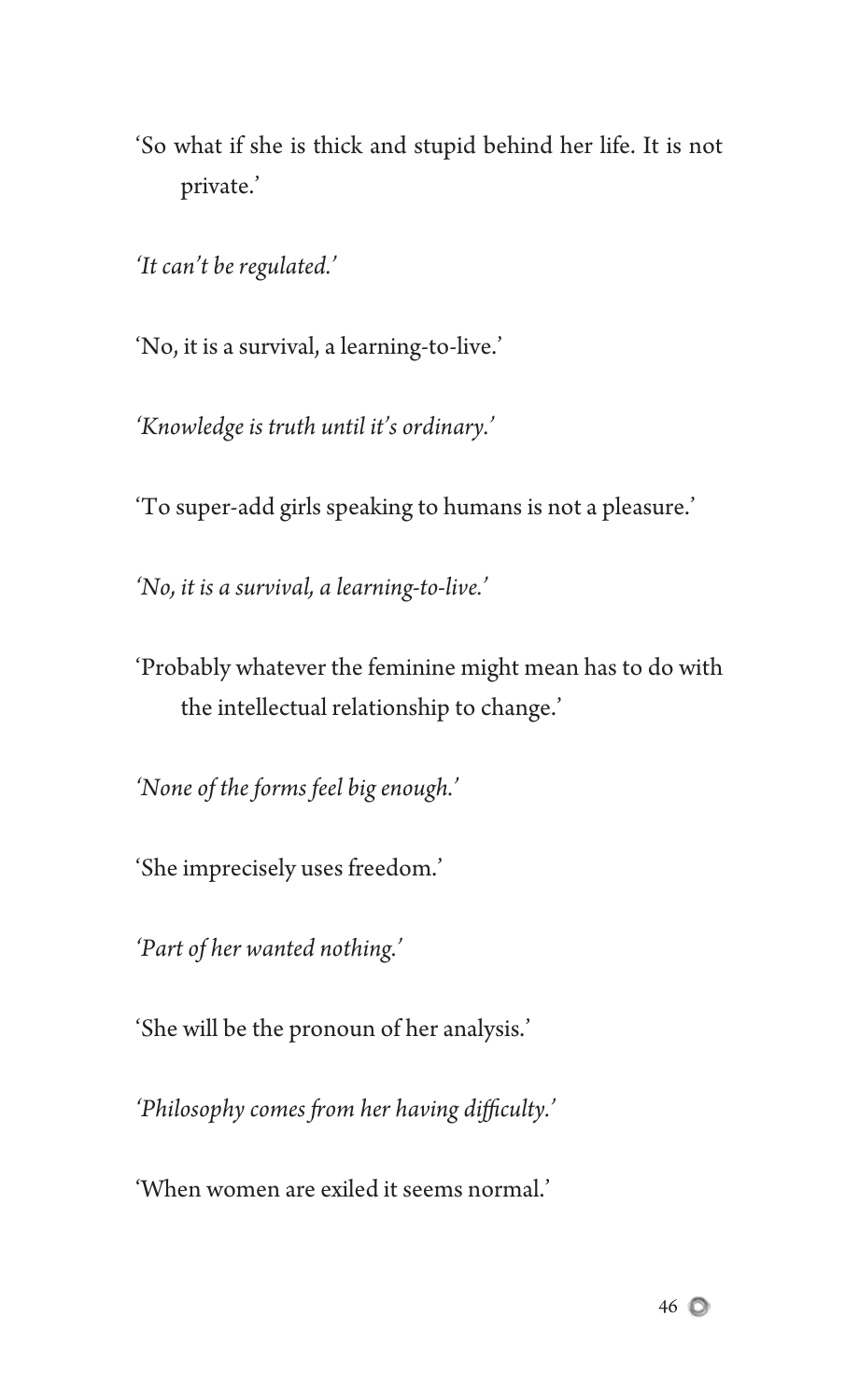'So what if she is thick and stupid behind her life. It is not private.'

*'It can't be regulated.'*

'No, it is a survival, a learning-to-live.'

*'Knowledge is truth until it's ordinary.'*

'To super-add girls speaking to humans is not a pleasure.'

*'No, it is a survival, a learning-to-live.'*

'Probably whatever the feminine might mean has to do with the intellectual relationship to change.'

*'None of the forms feel big enough.'*

'She imprecisely uses freedom.'

*'Part of her wanted nothing.'*

'She will be the pronoun of her analysis.'

'Philosophy comes from her having difficulty.'

'When women are exiled it seems normal.'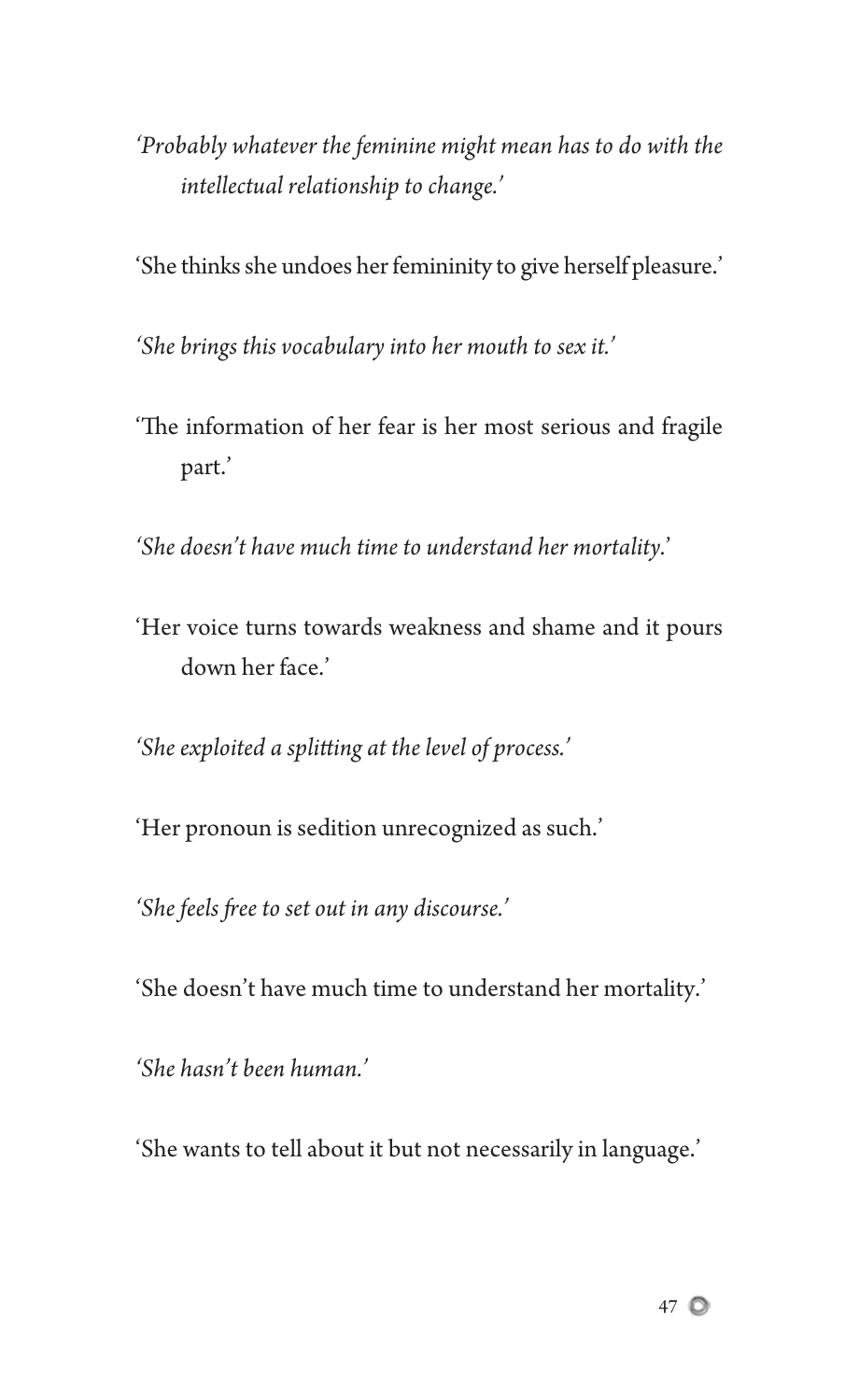- *'Probably whatever the feminine might mean has to do with the intellectual relationship to change.'*
- 'She thinks she undoes her femininity to give herself pleasure.'

*'She brings this vocabulary into her mouth to sex it.'*

'The information of her fear is her most serious and fragile part.'

*'She doesn't have much time to understand her mortality.*'

'Her voice turns towards weakness and shame and it pours down her face.'

'She exploited a splitting at the level of process.'

'Her pronoun is sedition unrecognized as such.'

'She feels free to set out in any discourse.'

'She doesn't have much time to understand her mortality.'

*'She hasn't been human.'*

'She wants to tell about it but not necessarily in language.'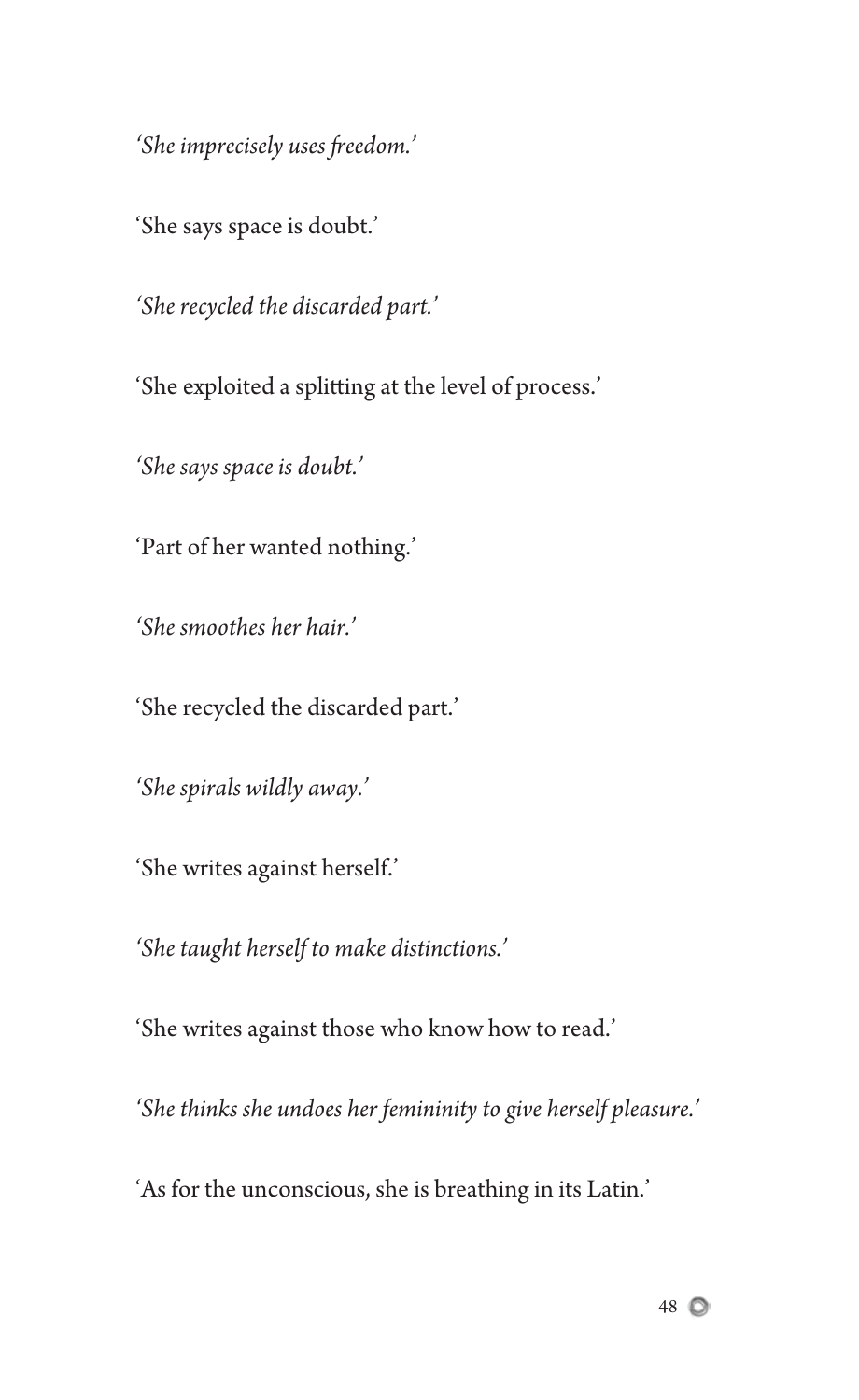'She imprecisely uses freedom.'

'She says space is doubt.'

*'She recycled the discarded part.'*

'She exploited a splitting at the level of process.'

*'She says space is doubt.'*

'Part of her wanted nothing.'

*'She smoothes her hair.'*

'She recycled the discarded part.'

*'She spirals wildly away.'*

'She writes against herself.'

*'She taught herself to make distinctions.'*

'She writes against those who know how to read.'

*'She thinks she undoes her femininity to give herself pleasure.'*

'As for the unconscious, she is breathing in its Latin.'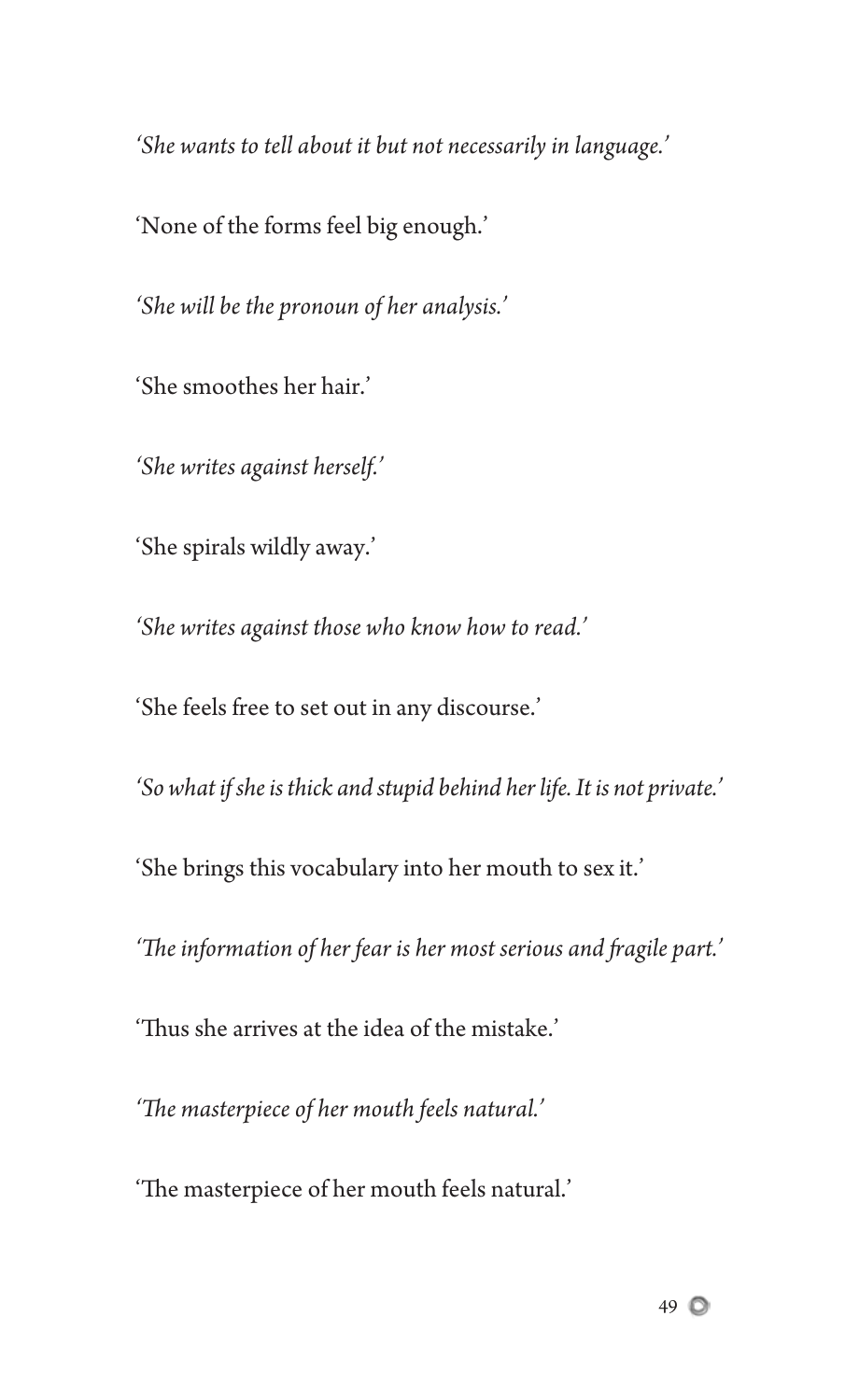*'She wants to tell about it but not necessarily in language.'*

'None of the forms feel big enough.'

*'She will be the pronoun of her analysis.'*

'She smoothes her hair.'

*'She writes against herself.'*

'She spirals wildly away.'

*'She writes against those who know how to read.'*

'She feels free to set out in any discourse.'

*'So what if she is thick and stupid behind her life. It is not private.'*

'She brings this vocabulary into her mouth to sex it.'

'The information of her fear is her most serious and fragile part.'

'Thus she arrives at the idea of the mistake.'

'The masterpiece of her mouth feels natural.'

'The masterpiece of her mouth feels natural.'